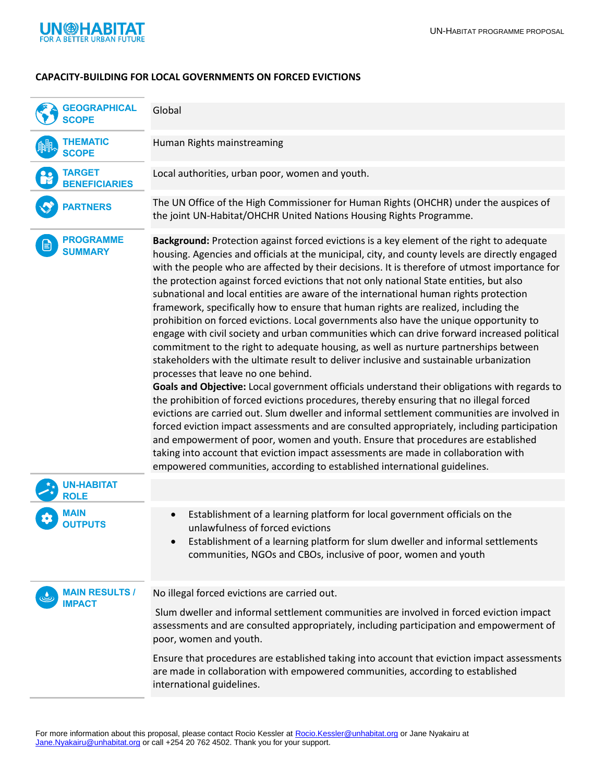

## **CAPACITY-BUILDING FOR LOCAL GOVERNMENTS ON FORCED EVICTIONS**

| <b>GEOGRAPHICAL</b><br><b>SCOPE</b>    | Global                                                                                                                                                                                                                                                                                                                                                                                                                                                                                                                                                                                                                                                                                                                                                                                                                                                                                                                                                                                                                                                                                                                                                                                                                                                                                                                                                                                                                                                                                                                                                                                                                                      |
|----------------------------------------|---------------------------------------------------------------------------------------------------------------------------------------------------------------------------------------------------------------------------------------------------------------------------------------------------------------------------------------------------------------------------------------------------------------------------------------------------------------------------------------------------------------------------------------------------------------------------------------------------------------------------------------------------------------------------------------------------------------------------------------------------------------------------------------------------------------------------------------------------------------------------------------------------------------------------------------------------------------------------------------------------------------------------------------------------------------------------------------------------------------------------------------------------------------------------------------------------------------------------------------------------------------------------------------------------------------------------------------------------------------------------------------------------------------------------------------------------------------------------------------------------------------------------------------------------------------------------------------------------------------------------------------------|
| <b>THEMATIC</b><br><b>SCOPE</b>        | Human Rights mainstreaming                                                                                                                                                                                                                                                                                                                                                                                                                                                                                                                                                                                                                                                                                                                                                                                                                                                                                                                                                                                                                                                                                                                                                                                                                                                                                                                                                                                                                                                                                                                                                                                                                  |
| <b>TARGET</b><br><b>BENEFICIARIES</b>  | Local authorities, urban poor, women and youth.                                                                                                                                                                                                                                                                                                                                                                                                                                                                                                                                                                                                                                                                                                                                                                                                                                                                                                                                                                                                                                                                                                                                                                                                                                                                                                                                                                                                                                                                                                                                                                                             |
| <b>PARTNERS</b>                        | The UN Office of the High Commissioner for Human Rights (OHCHR) under the auspices of<br>the joint UN-Habitat/OHCHR United Nations Housing Rights Programme.                                                                                                                                                                                                                                                                                                                                                                                                                                                                                                                                                                                                                                                                                                                                                                                                                                                                                                                                                                                                                                                                                                                                                                                                                                                                                                                                                                                                                                                                                |
| <b>PROGRAMME</b><br><b>SUMMARY</b>     | Background: Protection against forced evictions is a key element of the right to adequate<br>housing. Agencies and officials at the municipal, city, and county levels are directly engaged<br>with the people who are affected by their decisions. It is therefore of utmost importance for<br>the protection against forced evictions that not only national State entities, but also<br>subnational and local entities are aware of the international human rights protection<br>framework, specifically how to ensure that human rights are realized, including the<br>prohibition on forced evictions. Local governments also have the unique opportunity to<br>engage with civil society and urban communities which can drive forward increased political<br>commitment to the right to adequate housing, as well as nurture partnerships between<br>stakeholders with the ultimate result to deliver inclusive and sustainable urbanization<br>processes that leave no one behind.<br>Goals and Objective: Local government officials understand their obligations with regards to<br>the prohibition of forced evictions procedures, thereby ensuring that no illegal forced<br>evictions are carried out. Slum dweller and informal settlement communities are involved in<br>forced eviction impact assessments and are consulted appropriately, including participation<br>and empowerment of poor, women and youth. Ensure that procedures are established<br>taking into account that eviction impact assessments are made in collaboration with<br>empowered communities, according to established international guidelines. |
| <b>UN-HABITAT</b><br><b>ROLE</b>       |                                                                                                                                                                                                                                                                                                                                                                                                                                                                                                                                                                                                                                                                                                                                                                                                                                                                                                                                                                                                                                                                                                                                                                                                                                                                                                                                                                                                                                                                                                                                                                                                                                             |
| MAIN<br><b>OUTPUTS</b>                 | Establishment of a learning platform for local government officials on the<br>$\bullet$<br>unlawfulness of forced evictions<br>Establishment of a learning platform for slum dweller and informal settlements<br>communities, NGOs and CBOs, inclusive of poor, women and youth                                                                                                                                                                                                                                                                                                                                                                                                                                                                                                                                                                                                                                                                                                                                                                                                                                                                                                                                                                                                                                                                                                                                                                                                                                                                                                                                                             |
| <b>MAIN RESULTS /</b><br><b>IMPACT</b> | No illegal forced evictions are carried out.                                                                                                                                                                                                                                                                                                                                                                                                                                                                                                                                                                                                                                                                                                                                                                                                                                                                                                                                                                                                                                                                                                                                                                                                                                                                                                                                                                                                                                                                                                                                                                                                |
|                                        | Slum dweller and informal settlement communities are involved in forced eviction impact<br>assessments and are consulted appropriately, including participation and empowerment of<br>poor, women and youth.                                                                                                                                                                                                                                                                                                                                                                                                                                                                                                                                                                                                                                                                                                                                                                                                                                                                                                                                                                                                                                                                                                                                                                                                                                                                                                                                                                                                                                |
|                                        | Ensure that procedures are established taking into account that eviction impact assessments<br>are made in collaboration with empowered communities, according to established<br>international guidelines.                                                                                                                                                                                                                                                                                                                                                                                                                                                                                                                                                                                                                                                                                                                                                                                                                                                                                                                                                                                                                                                                                                                                                                                                                                                                                                                                                                                                                                  |